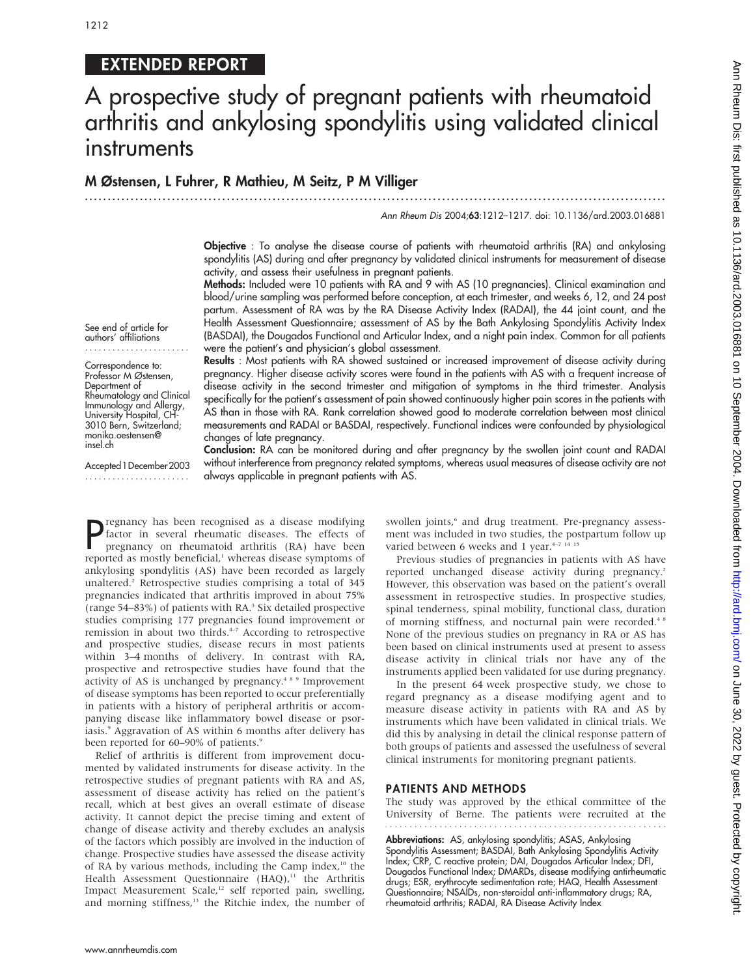# EXTENDED REPORT

# A prospective study of pregnant patients with rheumatoid arthritis and ankylosing spondylitis using validated clinical instruments

# M Østensen, L Fuhrer, R Mathieu, M Seitz, P M Villiger

...............................................................................................................................

Ann Rheum Dis 2004;63:1212–1217. doi: 10.1136/ard.2003.016881

Objective : To analyse the disease course of patients with rheumatoid arthritis (RA) and ankylosing spondylitis (AS) during and after pregnancy by validated clinical instruments for measurement of disease activity, and assess their usefulness in pregnant patients.

Methods: Included were 10 patients with RA and 9 with AS (10 pregnancies). Clinical examination and blood/urine sampling was performed before conception, at each trimester, and weeks 6, 12, and 24 post partum. Assessment of RA was by the RA Disease Activity Index (RADAI), the 44 joint count, and the Health Assessment Questionnaire; assessment of AS by the Bath Ankylosing Spondylitis Activity Index (BASDAI), the Dougados Functional and Articular Index, and a night pain index. Common for all patients were the patient's and physician's global assessment.

See end of article for authors' affiliations .......................

Correspondence to: Professor M Østensen, Department of Rheumatology and Clinical Immunology and Allergy, University Hospital, CH-3010 Bern, Switzerland; monika.oestensen@ insel.ch

Accepted 1 December 2003 .......................

Results : Most patients with RA showed sustained or increased improvement of disease activity during pregnancy. Higher disease activity scores were found in the patients with AS with a frequent increase of disease activity in the second trimester and mitigation of symptoms in the third trimester. Analysis specifically for the patient's assessment of pain showed continuously higher pain scores in the patients with AS than in those with RA. Rank correlation showed good to moderate correlation between most clinical measurements and RADAI or BASDAI, respectively. Functional indices were confounded by physiological changes of late pregnancy.

Conclusion: RA can be monitored during and after pregnancy by the swollen joint count and RADAI without interference from pregnancy related symptoms, whereas usual measures of disease activity are not always applicable in pregnant patients with AS.

**P** regnancy has been recognised as a disease modifying<br>factor in several rheumatic diseases. The effects of<br>pregnancy on rheumatoid arthritis (RA) have been<br>reported as mostly beneficial,<sup>1</sup> whereas disease symptoms of regnancy has been recognised as a disease modifying factor in several rheumatic diseases. The effects of pregnancy on rheumatoid arthritis (RA) have been ankylosing spondylitis (AS) have been recorded as largely unaltered.<sup>2</sup> Retrospective studies comprising a total of 345 pregnancies indicated that arthritis improved in about 75% (range 54–83%) of patients with RA.<sup>3</sup> Six detailed prospective studies comprising 177 pregnancies found improvement or remission in about two thirds.<sup>4-7</sup> According to retrospective and prospective studies, disease recurs in most patients within 3–4 months of delivery. In contrast with RA, prospective and retrospective studies have found that the activity of AS is unchanged by pregnancy. $489$  Improvement of disease symptoms has been reported to occur preferentially in patients with a history of peripheral arthritis or accompanying disease like inflammatory bowel disease or psoriasis.<sup>9</sup> Aggravation of AS within 6 months after delivery has been reported for 60–90% of patients.<sup>9</sup>

Relief of arthritis is different from improvement documented by validated instruments for disease activity. In the retrospective studies of pregnant patients with RA and AS, assessment of disease activity has relied on the patient's recall, which at best gives an overall estimate of disease activity. It cannot depict the precise timing and extent of change of disease activity and thereby excludes an analysis of the factors which possibly are involved in the induction of change. Prospective studies have assessed the disease activity of RA by various methods, including the Camp index, $10$  the Health Assessment Questionnaire (HAQ),<sup>11</sup> the Arthritis Impact Measurement Scale,<sup>12</sup> self reported pain, swelling, and morning stiffness,<sup>13</sup> the Ritchie index, the number of swollen joints,<sup>6</sup> and drug treatment. Pre-pregnancy assessment was included in two studies, the postpartum follow up varied between 6 weeks and 1 year.<sup>4-7 14 15</sup>

Previous studies of pregnancies in patients with AS have reported unchanged disease activity during pregnancy.<sup>2</sup> However, this observation was based on the patient's overall assessment in retrospective studies. In prospective studies, spinal tenderness, spinal mobility, functional class, duration of morning stiffness, and nocturnal pain were recorded.<sup>4 8</sup> None of the previous studies on pregnancy in RA or AS has been based on clinical instruments used at present to assess disease activity in clinical trials nor have any of the instruments applied been validated for use during pregnancy.

In the present 64 week prospective study, we chose to regard pregnancy as a disease modifying agent and to measure disease activity in patients with RA and AS by instruments which have been validated in clinical trials. We did this by analysing in detail the clinical response pattern of both groups of patients and assessed the usefulness of several clinical instruments for monitoring pregnant patients.

#### PATIENTS AND METHODS

The study was approved by the ethical committee of the University of Berne. The patients were recruited at the 

**Abbreviations:** AS, ankylosing spondylitis; ASAS, Ankylosing Spondylitis Assessment; BASDAI, Bath Ankylosing Spondylitis Activity Index; CRP, C reactive protein; DAI, Dougados Articular Index; DFI, Dougados Functional Index; DMARDs, disease modifying antirheumatic drugs; ESR, erythrocyte sedimentation rate; HAQ, Health Assessment Questionnaire; NSAIDs, non-steroidal anti-inflammatory drugs; RA, rheumatoid arthritis; RADAI, RA Disease Activity Index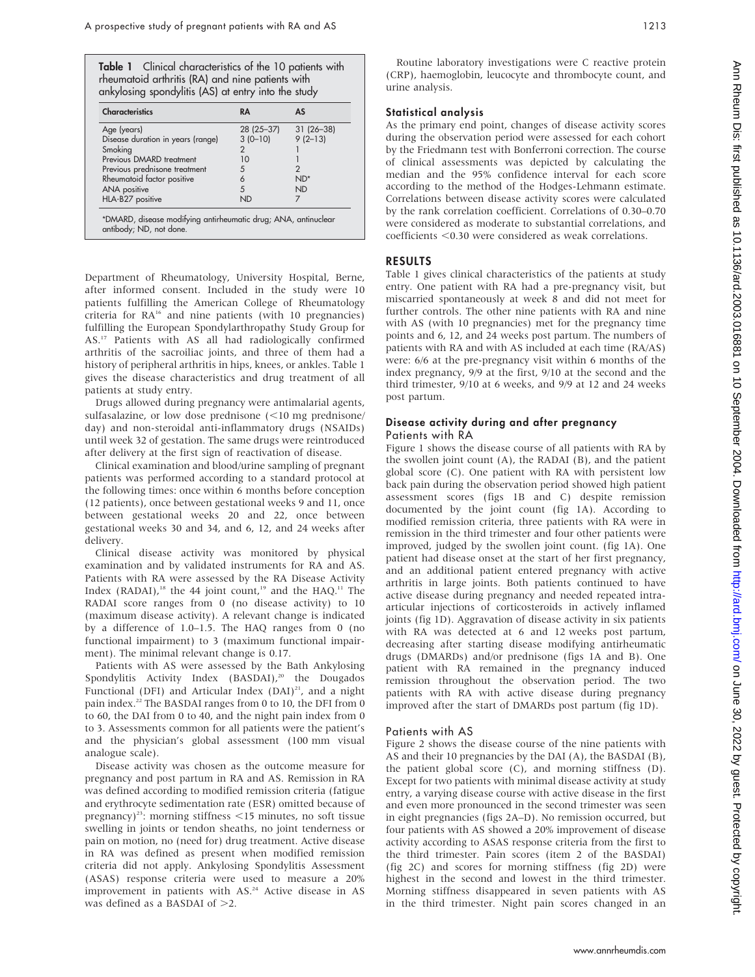Table 1 Clinical characteristics of the 10 patients with rheumatoid arthritis (RA) and nine patients with ankylosing spondylitis (AS) at entry into the study

| <b>Characteristics</b>            | <b>RA</b>    | AS            |
|-----------------------------------|--------------|---------------|
| Age (years)                       | 28 (25 - 37) | $31(26 - 38)$ |
| Disease duration in years (range) | $3(0-10)$    | $9(2-13)$     |
| Smoking                           |              |               |
| Previous DMARD treatment          | 10           |               |
| Previous prednisone treatment     | 5            |               |
| Rheumatoid factor positive        | 6            | $ND*$         |
| <b>ANA</b> positive               | 5            | <b>ND</b>     |
| HLA-B27 positive                  | <b>ND</b>    |               |

Department of Rheumatology, University Hospital, Berne, after informed consent. Included in the study were 10 patients fulfilling the American College of Rheumatology criteria for RA<sup>16</sup> and nine patients (with 10 pregnancies) fulfilling the European Spondylarthropathy Study Group for AS.17 Patients with AS all had radiologically confirmed arthritis of the sacroiliac joints, and three of them had a history of peripheral arthritis in hips, knees, or ankles. Table 1 gives the disease characteristics and drug treatment of all patients at study entry.

Drugs allowed during pregnancy were antimalarial agents, sulfasalazine, or low dose prednisone  $\epsilon$  (<10 mg prednisone/ day) and non-steroidal anti-inflammatory drugs (NSAIDs) until week 32 of gestation. The same drugs were reintroduced after delivery at the first sign of reactivation of disease.

Clinical examination and blood/urine sampling of pregnant patients was performed according to a standard protocol at the following times: once within 6 months before conception (12 patients), once between gestational weeks 9 and 11, once between gestational weeks 20 and 22, once between gestational weeks 30 and 34, and 6, 12, and 24 weeks after delivery.

Clinical disease activity was monitored by physical examination and by validated instruments for RA and AS. Patients with RA were assessed by the RA Disease Activity Index (RADAI),<sup>18</sup> the 44 joint count,<sup>19</sup> and the HAQ.<sup>11</sup> The RADAI score ranges from 0 (no disease activity) to 10 (maximum disease activity). A relevant change is indicated by a difference of 1.0–1.5. The HAQ ranges from 0 (no functional impairment) to 3 (maximum functional impairment). The minimal relevant change is 0.17.

Patients with AS were assessed by the Bath Ankylosing Spondylitis Activity Index (BASDAI),<sup>20</sup> the Dougados Functional (DFI) and Articular Index  $(DAI)^{21}$ , and a night pain index.<sup>22</sup> The BASDAI ranges from 0 to 10, the DFI from 0 to 60, the DAI from 0 to 40, and the night pain index from 0 to 3. Assessments common for all patients were the patient's and the physician's global assessment (100 mm visual analogue scale).

Disease activity was chosen as the outcome measure for pregnancy and post partum in RA and AS. Remission in RA was defined according to modified remission criteria (fatigue and erythrocyte sedimentation rate (ESR) omitted because of pregnancy)<sup>23</sup>: morning stiffness  $\leq$ 15 minutes, no soft tissue swelling in joints or tendon sheaths, no joint tenderness or pain on motion, no (need for) drug treatment. Active disease in RA was defined as present when modified remission criteria did not apply. Ankylosing Spondylitis Assessment (ASAS) response criteria were used to measure a 20% improvement in patients with AS.<sup>24</sup> Active disease in AS was defined as a BASDAI of  $\geq 2$ .

Routine laboratory investigations were C reactive protein (CRP), haemoglobin, leucocyte and thrombocyte count, and urine analysis.

## Statistical analysis

As the primary end point, changes of disease activity scores during the observation period were assessed for each cohort by the Friedmann test with Bonferroni correction. The course of clinical assessments was depicted by calculating the median and the 95% confidence interval for each score according to the method of the Hodges-Lehmann estimate. Correlations between disease activity scores were calculated by the rank correlation coefficient. Correlations of 0.30–0.70 were considered as moderate to substantial correlations, and  $coefficients < 0.30$  were considered as weak correlations.

# RESULTS

Table 1 gives clinical characteristics of the patients at study entry. One patient with RA had a pre-pregnancy visit, but miscarried spontaneously at week 8 and did not meet for further controls. The other nine patients with RA and nine with AS (with 10 pregnancies) met for the pregnancy time points and 6, 12, and 24 weeks post partum. The numbers of patients with RA and with AS included at each time (RA/AS) were: 6/6 at the pre-pregnancy visit within 6 months of the index pregnancy, 9/9 at the first, 9/10 at the second and the third trimester, 9/10 at 6 weeks, and 9/9 at 12 and 24 weeks post partum.

### Disease activity during and after pregnancy Patients with RA

Figure 1 shows the disease course of all patients with RA by the swollen joint count (A), the RADAI (B), and the patient global score (C). One patient with RA with persistent low back pain during the observation period showed high patient assessment scores (figs 1B and C) despite remission documented by the joint count (fig 1A). According to modified remission criteria, three patients with RA were in remission in the third trimester and four other patients were improved, judged by the swollen joint count. (fig 1A). One patient had disease onset at the start of her first pregnancy, and an additional patient entered pregnancy with active arthritis in large joints. Both patients continued to have active disease during pregnancy and needed repeated intraarticular injections of corticosteroids in actively inflamed joints (fig 1D). Aggravation of disease activity in six patients with RA was detected at 6 and 12 weeks post partum, decreasing after starting disease modifying antirheumatic drugs (DMARDs) and/or prednisone (figs 1A and B). One patient with RA remained in the pregnancy induced remission throughout the observation period. The two patients with RA with active disease during pregnancy improved after the start of DMARDs post partum (fig 1D).

## Patients with AS

Figure 2 shows the disease course of the nine patients with AS and their 10 pregnancies by the DAI (A), the BASDAI (B), the patient global score (C), and morning stiffness (D). Except for two patients with minimal disease activity at study entry, a varying disease course with active disease in the first and even more pronounced in the second trimester was seen in eight pregnancies (figs 2A–D). No remission occurred, but four patients with AS showed a 20% improvement of disease activity according to ASAS response criteria from the first to the third trimester. Pain scores (item 2 of the BASDAI) (fig 2C) and scores for morning stiffness (fig 2D) were highest in the second and lowest in the third trimester. Morning stiffness disappeared in seven patients with AS in the third trimester. Night pain scores changed in an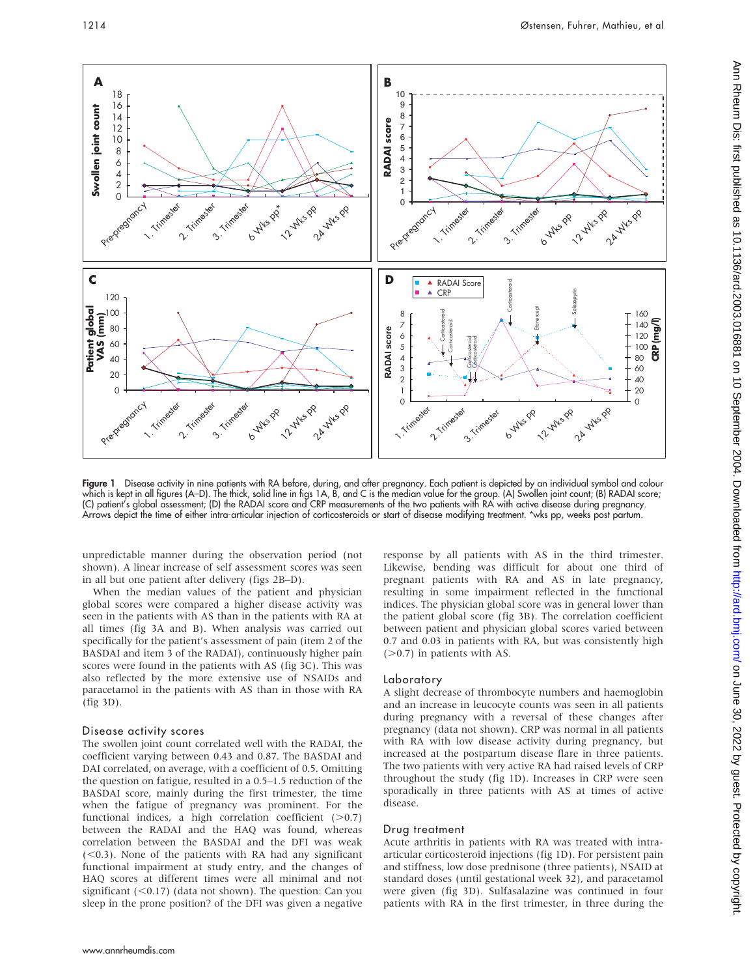

**Figure 1** Disease activity in nine patients with RA before, during, and after pregnancy. Each patient is depicted by an individual symbol and colour which is kept in all figures (A–D). The thick, solid line in figs 1A, B, and C is the median value for the group. (A) Swollen joint count; (B) RADAI score; (C) patient's global assessment; (D) the RADAI score and CRP measurements of the two patients with RA with active disease during pregnancy. Arrows depict the time of either intra-articular injection of corticosteroids or start of disease modifying treatment. \*wks pp, weeks post partum.

unpredictable manner during the observation period (not shown). A linear increase of self assessment scores was seen in all but one patient after delivery (figs 2B–D).

When the median values of the patient and physician global scores were compared a higher disease activity was seen in the patients with AS than in the patients with RA at all times (fig 3A and B). When analysis was carried out specifically for the patient's assessment of pain (item 2 of the BASDAI and item 3 of the RADAI), continuously higher pain scores were found in the patients with AS (fig 3C). This was also reflected by the more extensive use of NSAIDs and paracetamol in the patients with AS than in those with RA (fig 3D).

#### Disease activity scores

The swollen joint count correlated well with the RADAI, the coefficient varying between 0.43 and 0.87. The BASDAI and DAI correlated, on average, with a coefficient of 0.5. Omitting the question on fatigue, resulted in a 0.5–1.5 reduction of the BASDAI score, mainly during the first trimester, the time when the fatigue of pregnancy was prominent. For the functional indices, a high correlation coefficient  $(>0.7)$ between the RADAI and the HAQ was found, whereas correlation between the BASDAI and the DFI was weak  $(<0.3$ ). None of the patients with RA had any significantfunctional impairment at study entry, and the changes of HAQ scores at different times were all minimal and not significant  $(<0.17)$  (data not shown). The question: Can you sleep in the prone position? of the DFI was given a negative

response by all patients with AS in the third trimester. Likewise, bending was difficult for about one third of pregnant patients with RA and AS in late pregnancy, resulting in some impairment reflected in the functional indices. The physician global score was in general lower than the patient global score (fig 3B). The correlation coefficient between patient and physician global scores varied between 0.7 and 0.03 in patients with RA, but was consistently high  $(>0.7)$  in patients with AS.

#### Laboratory

A slight decrease of thrombocyte numbers and haemoglobin and an increase in leucocyte counts was seen in all patients during pregnancy with a reversal of these changes after pregnancy (data not shown). CRP was normal in all patients with RA with low disease activity during pregnancy, but increased at the postpartum disease flare in three patients. The two patients with very active RA had raised levels of CRP throughout the study (fig 1D). Increases in CRP were seen sporadically in three patients with AS at times of active disease.

#### Drug treatment

Acute arthritis in patients with RA was treated with intraarticular corticosteroid injections (fig 1D). For persistent pain and stiffness, low dose prednisone (three patients), NSAID at standard doses (until gestational week 32), and paracetamol were given (fig 3D). Sulfasalazine was continued in four patients with RA in the first trimester, in three during the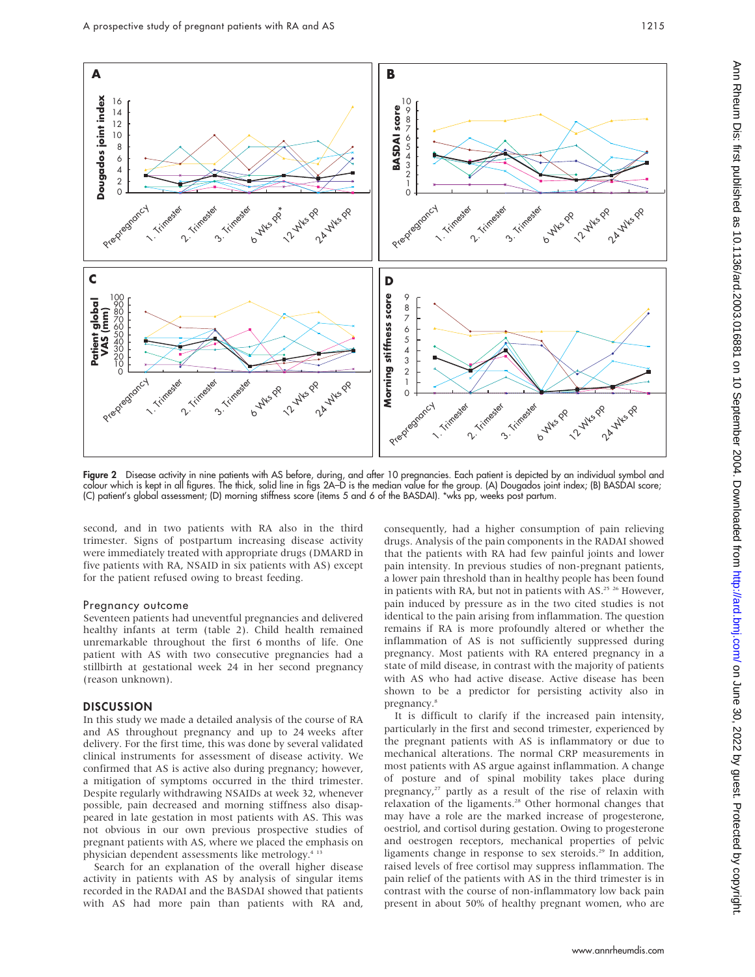

Figure 2 Disease activity in nine patients with AS before, during, and after 10 pregnancies. Each patient is depicted by an individual symbol and colour which is kept in all figures. The thick, solid line in figs 2A–D is the median value for the group. (A) Dougados joint index; (B) BASDAI score; (C) patient's global assessment; (D) morning stiffness score (items 5 and 6 of the BASDAI). \*wks pp, weeks post partum.

second, and in two patients with RA also in the third trimester. Signs of postpartum increasing disease activity were immediately treated with appropriate drugs (DMARD in five patients with RA, NSAID in six patients with AS) except for the patient refused owing to breast feeding.

#### Pregnancy outcome

Seventeen patients had uneventful pregnancies and delivered healthy infants at term (table 2). Child health remained unremarkable throughout the first 6 months of life. One patient with AS with two consecutive pregnancies had a stillbirth at gestational week 24 in her second pregnancy (reason unknown).

#### **DISCUSSION**

In this study we made a detailed analysis of the course of RA and AS throughout pregnancy and up to 24 weeks after delivery. For the first time, this was done by several validated clinical instruments for assessment of disease activity. We confirmed that AS is active also during pregnancy; however, a mitigation of symptoms occurred in the third trimester. Despite regularly withdrawing NSAIDs at week 32, whenever possible, pain decreased and morning stiffness also disappeared in late gestation in most patients with AS. This was not obvious in our own previous prospective studies of pregnant patients with AS, where we placed the emphasis on physician dependent assessments like metrology.<sup>41</sup>

Search for an explanation of the overall higher disease activity in patients with AS by analysis of singular items recorded in the RADAI and the BASDAI showed that patients with AS had more pain than patients with RA and,

consequently, had a higher consumption of pain relieving drugs. Analysis of the pain components in the RADAI showed that the patients with RA had few painful joints and lower pain intensity. In previous studies of non-pregnant patients, a lower pain threshold than in healthy people has been found in patients with RA, but not in patients with AS.<sup>25 26</sup> However, pain induced by pressure as in the two cited studies is not identical to the pain arising from inflammation. The question remains if RA is more profoundly altered or whether the inflammation of AS is not sufficiently suppressed during pregnancy. Most patients with RA entered pregnancy in a state of mild disease, in contrast with the majority of patients with AS who had active disease. Active disease has been shown to be a predictor for persisting activity also in pregnancy.<sup>8</sup>

It is difficult to clarify if the increased pain intensity, particularly in the first and second trimester, experienced by the pregnant patients with AS is inflammatory or due to mechanical alterations. The normal CRP measurements in most patients with AS argue against inflammation. A change of posture and of spinal mobility takes place during pregnancy, $27$  partly as a result of the rise of relaxin with relaxation of the ligaments.<sup>28</sup> Other hormonal changes that may have a role are the marked increase of progesterone, oestriol, and cortisol during gestation. Owing to progesterone and oestrogen receptors, mechanical properties of pelvic ligaments change in response to sex steroids.<sup>29</sup> In addition, raised levels of free cortisol may suppress inflammation. The pain relief of the patients with AS in the third trimester is in contrast with the course of non-inflammatory low back pain present in about 50% of healthy pregnant women, who are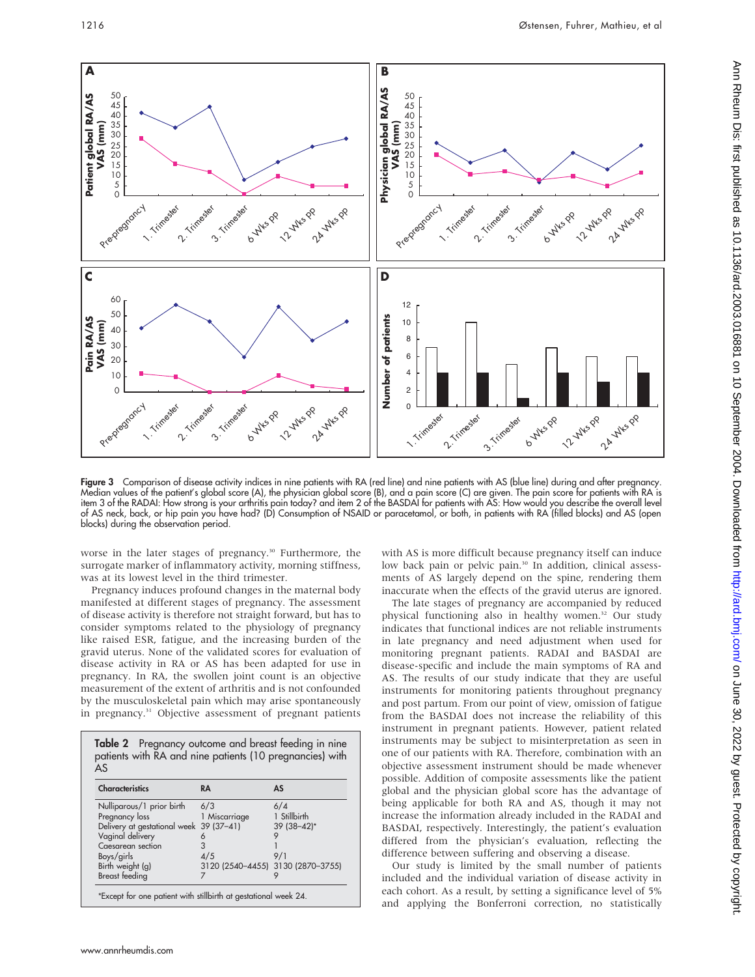

Figure 3 Comparison of disease activity indices in nine patients with RA (red line) and nine patients with AS (blue line) during and after pregnancy. Median values of the patient's global score (A), the physician global score (B), and a pain score (C) are given. The pain score for patients with RA is item 3 of the RADAI: How strong is your arthritis pain today? and item 2 of the BASDAI for patients with AS: How would you describe the overall level of AS neck, back, or hip pain you have had? (D) Consumption of NSAID or paracetamol, or both, in patients with RA (filled blocks) and AS (open blocks) during the observation period.

worse in the later stages of pregnancy.<sup>30</sup> Furthermore, the surrogate marker of inflammatory activity, morning stiffness, was at its lowest level in the third trimester.

Pregnancy induces profound changes in the maternal body manifested at different stages of pregnancy. The assessment of disease activity is therefore not straight forward, but has to consider symptoms related to the physiology of pregnancy like raised ESR, fatigue, and the increasing burden of the gravid uterus. None of the validated scores for evaluation of disease activity in RA or AS has been adapted for use in pregnancy. In RA, the swollen joint count is an objective measurement of the extent of arthritis and is not confounded by the musculoskeletal pain which may arise spontaneously in pregnancy.<sup>31</sup> Objective assessment of pregnant patients

| <b>Table 2</b> Pregnancy outcome and breast feeding in nine<br>patients with RA and nine patients (10 pregnancies) with<br>AS |               |                                   |  |
|-------------------------------------------------------------------------------------------------------------------------------|---------------|-----------------------------------|--|
| <b>Characteristics</b>                                                                                                        | RA            | AS                                |  |
| Nulliparous/1 prior birth                                                                                                     | 6/3           | 6/4                               |  |
| Pregnancy loss                                                                                                                | 1 Miscarriage | 1 Stillbirth                      |  |
| Delivery at gestational week                                                                                                  | $39(37 - 41)$ | 39 (38-42)*                       |  |
| Vaginal delivery                                                                                                              | 6             |                                   |  |
| Caesarean section                                                                                                             | 3             |                                   |  |
| Boys/girls                                                                                                                    | 4/5           | 9/1                               |  |
| Birth weight (g)                                                                                                              |               | 3120 (2540-4455) 3130 (2870-3755) |  |
| <b>Breast</b> feeding                                                                                                         |               | 9                                 |  |

with AS is more difficult because pregnancy itself can induce low back pain or pelvic pain.<sup>30</sup> In addition, clinical assessments of AS largely depend on the spine, rendering them inaccurate when the effects of the gravid uterus are ignored.

The late stages of pregnancy are accompanied by reduced physical functioning also in healthy women.<sup>32</sup> Our study indicates that functional indices are not reliable instruments in late pregnancy and need adjustment when used for monitoring pregnant patients. RADAI and BASDAI are disease-specific and include the main symptoms of RA and AS. The results of our study indicate that they are useful instruments for monitoring patients throughout pregnancy and post partum. From our point of view, omission of fatigue from the BASDAI does not increase the reliability of this instrument in pregnant patients. However, patient related instruments may be subject to misinterpretation as seen in one of our patients with RA. Therefore, combination with an objective assessment instrument should be made whenever possible. Addition of composite assessments like the patient global and the physician global score has the advantage of being applicable for both RA and AS, though it may not increase the information already included in the RADAI and BASDAI, respectively. Interestingly, the patient's evaluation differed from the physician's evaluation, reflecting the difference between suffering and observing a disease.

Our study is limited by the small number of patients included and the individual variation of disease activity in each cohort. As a result, by setting a significance level of 5% and applying the Bonferroni correction, no statistically